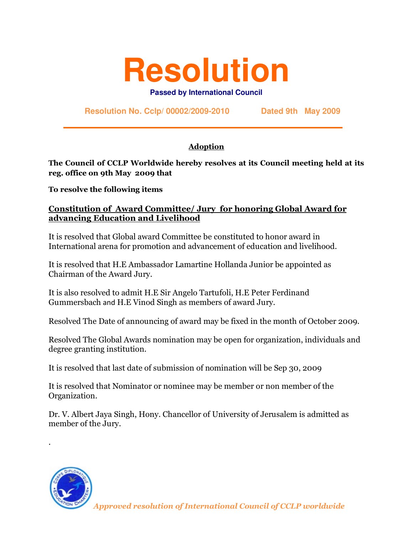## **Resolution**

**Passed by International Council**

**Resolution No. Cclp/ 00002/2009-2010 Dated 9th May 2009**

## **Adoption**

The Council of CCLP Worldwide hereby resolves at its Council meeting held at its reg. office on 9th May 2009 that

To resolve the following items

## Constitution of Award Committee/ Jury for honoring Global Award for advancing Education and Livelihood

It is resolved that Global award Committee be constituted to honor award in International arena for promotion and advancement of education and livelihood.

It is resolved that H.E Ambassador Lamartine Hollanda Junior be appointed as Chairman of the Award Jury.

It is also resolved to admit H.E Sir Angelo Tartufoli, H.E Peter Ferdinand Gummersbach and H.E Vinod Singh as members of award Jury.

Resolved The Date of announcing of award may be fixed in the month of October 2009.

Resolved The Global Awards nomination may be open for organization, individuals and degree granting institution.

It is resolved that last date of submission of nomination will be Sep 30, 2009

It is resolved that Nominator or nominee may be member or non member of the Organization.

Dr. V. Albert Jaya Singh, Hony. Chancellor of University of Jerusalem is admitted as member of the Jury.



.